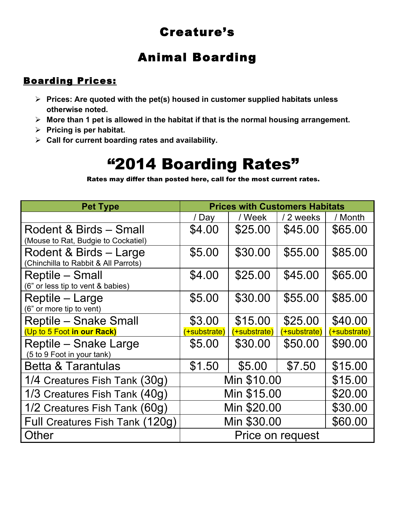## Creature's

## Animal Boarding

### Boarding Prices:

- ! **Prices: Are quoted with the pet(s) housed in customer supplied habitats unless otherwise noted.**
- ! **More than 1 pet is allowed in the habitat if that is the normal housing arrangement.**
- ! **Pricing is per habitat.**
- ! **Call for current boarding rates and availability.**

# "2014 Boarding Rates"

Rates may differ than posted here, call for the most current rates.

| <b>Pet Type</b>                                                | <b>Prices with Customers Habitats</b> |              |              |         |
|----------------------------------------------------------------|---------------------------------------|--------------|--------------|---------|
|                                                                | / Day                                 | / Week       | / 2 weeks    | / Month |
| Rodent & Birds - Small<br>(Mouse to Rat, Budgie to Cockatiel)  | \$4.00                                | \$25.00      | \$45.00      | \$65.00 |
| Rodent & Birds - Large<br>(Chinchilla to Rabbit & All Parrots) | \$5.00                                | \$30.00      | \$55.00      | \$85.00 |
| Reptile – Small<br>(6" or less tip to vent & babies)           | \$4.00                                | \$25.00      | \$45.00      | \$65.00 |
| Reptile – Large<br>(6" or more tip to vent)                    | \$5.00                                | \$30.00      | \$55.00      | \$85.00 |
| Reptile – Snake Small                                          | \$3.00                                | \$15.00      | \$25.00      | \$40.00 |
| (Up to 5 Foot in our Rack)                                     | (+substrate)                          | (+substrate) | (+substrate) |         |
| <b>Reptile - Snake Large</b><br>(5 to 9 Foot in your tank)     | \$5.00                                | \$30.00      | \$50.00      | \$90.00 |
| <b>Betta &amp; Tarantulas</b>                                  | \$1.50                                | \$5.00       | \$7.50       | \$15.00 |
| 1/4 Creatures Fish Tank (30g)                                  | Min \$10.00                           |              |              | \$15.00 |
| 1/3 Creatures Fish Tank (40g)                                  | Min \$15.00                           |              |              | \$20.00 |
| 1/2 Creatures Fish Tank (60g)                                  | Min \$20.00                           |              |              | \$30.00 |
| Full Creatures Fish Tank (120g)                                | Min \$30.00                           |              |              | \$60.00 |
| Other                                                          | Price on request                      |              |              |         |